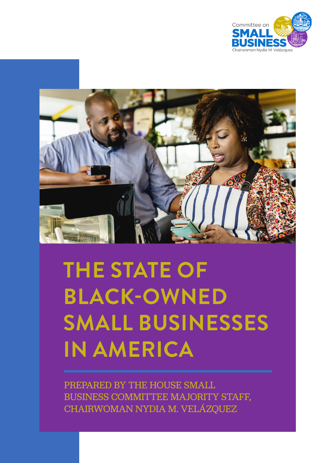



# **THE STATE OF BLACK-OWNED SMALL BUSINESSES IN AMERICA**

PREPARED BY THE HOUSE SMALL BUSINESS COMMITTEE MAJORITY STAFF, CHAIRWOMAN NYDIA M. VELÁZQUEZ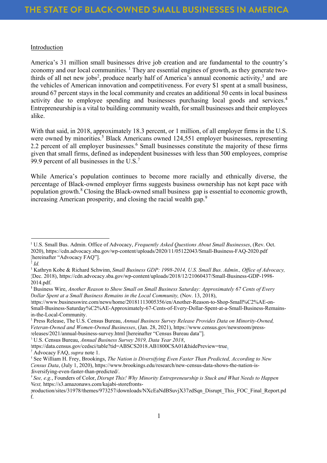# Introduction

America's 31 million small businesses drive job creation and are fundamental to the country's economy and our local communities.  $<sup>1</sup>$  They are essential engines of growth, as they generate two-</sup> thirds of all net new jobs<sup>2</sup>, produce nearly half of America's annual economic activity,<sup>3</sup> and are the vehicles of American innovation and competitiveness. For every \$1 spent at a small business, around 67 percent stays in the local community and creates an additional 50 cents in local business activity due to employee spending and businesses purchasing local goods and services.<sup>4</sup> Entrepreneurship is a vital to building community wealth, for small businesses and their employees alike.

With that said, in 2018, approximately 18.3 percent, or 1 million, of all employer firms in the U.S. were owned by minorities.<sup>5</sup> Black Americans owned 124,551 employer businesses, representing 2.2 percent of all employer businesses.<sup>6</sup> Small businesses constitute the majority of these firms given that small firms, defined as independent businesses with less than 500 employees, comprise 99.9 percent of all businesses in the U.S. $<sup>7</sup>$ </sup>

While America's population continues to become more racially and ethnically diverse, the percentage of Black-owned employer firms suggests business ownership has not kept pace with population growth. <sup>8</sup> Closing the Black-owned small business gap is essential to economic growth, increasing American prosperity, and closing the racial wealth gap.<sup>9</sup>

 $\frac{1}{2}$  *Id.* 

<sup>6</sup> U.S. Census Bureau, *Annual Business Survey 2019, Data Year 2018*,

<sup>7</sup> Advocacy FAQ, *supra* note 1.

<sup>&</sup>lt;sup>1</sup> U.S. Small Bus. Admin. Office of Advocacy, *Frequently Asked Questions About Small Businesses*, (Rev. Oct. 2020), https://cdn.advocacy.sba.gov/wp-content/uploads/2020/11/05122043/Small-Business-FAQ-2020.pdf [hereinafter "Advocacy FAQ"].

<sup>3</sup> Kathryn Kobe & Richard Schwinn, *Small Business GDP: 1998-2014, U.S. Small Bus. Admin., Office of Advocacy,* (Dec. 2018), https://cdn.advocacy.sba.gov/wp-content/uploads/2018/12/21060437/Small-Business-GDP-1998- 2014.pdf.

<sup>4</sup> Business Wire, *Another Reason to Show Small on Small Business Saturday: Approximately 67 Cents of Every Dollar Spent at a Small Business Remains in the Local Community,* (Nov. 13, 2018),

https://www.businesswire.com/news/home/20181113005356/en/Another-Reason-to-Shop-Small%C2%AE-on-Small-Business-Saturday%C2%AE-Approximately-67-Cents-of-Every-Dollar-Spent-at-a-Small-Business-Remainsin-the-Local-Community.

<sup>5</sup> Press Release, The U.S. Census Bureau, *Annual Business Survey Release Provides Data on Minority-Owned, Veteran-Owned and Women-Owned Businesses*, (Jan. 28, 2021), https://www.census.gov/newsroom/pressreleases/2021/annual-business-survey.html [hereinafter "Census Bureau data"].

https://data.census.gov/cedsci/table?tid=ABSCS2018.AB1800CSA01&hidePreview=true.

<sup>8</sup> See William H. Frey, Brookings, *The Nation is Diversifying Even Faster Than Predicted, According to New Census Data*, (July 1, 2020), https://www.brookings.edu/research/new-census-data-shows-the-nation-isdiversifying-even-faster-than-predicted/.

<sup>9</sup> *See, e.g.*, Founders of Color, *Disrupt This! Why Minority Entrepreneurship is Stuck and What Needs to Happen Next,* https://s3.amazonaws.com/kajabi-storefronts-

production/sites/31978/themes/973257/downloads/NXcEaNdBSuvjX37zdSqn\_Disrupt\_This\_FOC\_Final\_Report.pd f.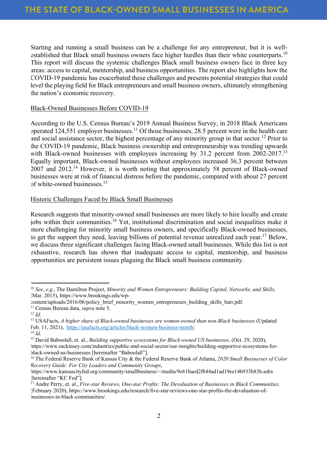Starting and running a small business can be a challenge for any entrepreneur, but it is wellestablished that Black small business owners face higher hurdles than their white counterparts.<sup>10</sup> This report will discuss the systemic challenges Black small business owners face in three key areas: access to capital, mentorship, and business opportunities. The report also highlights how the COVID-19 pandemic has exacerbated these challenges and presents potential strategies that could level the playing field for Black entrepreneurs and small business owners, ultimately strengthening the nation's economic recovery.

## Black-Owned Businesses Before COVID-19

According to the U.S. Census Bureau's 2019 Annual Business Survey, in 2018 Black Americans operated 124,551 employer businesses. <sup>11</sup> Of those businesses, 28.5 percent were in the health care and social assistance sector, the highest percentage of any minority group in that sector. <sup>12</sup> Prior to the COVID-19 pandemic, Black business ownership and entrepreneurship was trending upwards with Black-owned businesses with employees increasing by 31.2 percent from 2002-2017.<sup>13</sup> Equally important, Black-owned businesses without employees increased 36.3 percent between 2007 and 2012<sup>14</sup> However, it is worth noting that approximately 58 percent of Black-owned businesses were at risk of financial distress before the pandemic, compared with about 27 percent of white-owned businesses.<sup>15</sup>

## Historic Challenges Faced by Black Small Businesses

Research suggests that minority-owned small businesses are more likely to hire locally and create jobs within their communities. <sup>16</sup> Yet, institutional discrimination and social inequalities make it more challenging for minority small business owners, and specifically Black-owned businesses, to get the support they need, leaving billions of potential revenue unrealized each year.<sup>17</sup> Below, we discuss three significant challenges facing Black-owned small businesses. While this list is not exhaustive, research has shown that inadequate access to capital, mentorship, and business opportunities are persistent issues plaguing the Black small business community.

<sup>16</sup> The Federal Reserve Bank of Kansas City & the Federal Reserve Bank of Atlanta, *2020 Small Businesses of Color Recovery Guide: For City Leaders and Community Groups*,

<sup>10</sup> *See*, *e.g.*, The Hamilton Project, *Minority and Women Entrepreneurs: Building Capital, Networks, and Skills,*  (Mar. 2015), https://www.brookings.edu/wp-

content/uploads/2016/06/policy\_brief\_minority\_women\_entrepreneurs\_building\_skills\_barr.pdf. <sup>11</sup> Census Bureau data, *supra* note 5.

 $12$  *Id.* 

<sup>13</sup> USAFacts, *A higher share of Black-owned businesses are women-owned than non-Black businesses* (Updated Feb. 11, 2021), https://usafacts.org/articles/black-women-business-month/

<sup>14</sup> *Id*.

<sup>15</sup> David Baboolall, et. al., *Building supportive ecosystems for Black-owned US businesses,* (Oct. 29, 2020), https://www.mckinsey.com/industries/public-and-social-sector/our-insights/building-supportive-ecosystems-forblack-owned-us-businesses [hereinafter "Baboolall"].

https://www.kansascityfed.org/community/smallbusiness/~/media/9e81baed2f844ad1ad19ee14b933b83b.ashx [hereinafter "KC Fed"].

<sup>17</sup> Andre Perry, et. al., *Five-star Reviews, One-star Profits: The Devaluation of Businesses in Black Communities,* (February 2020), https://www.brookings.edu/research/five-star-reviews-one-star-profits-the-devaluation-ofbusinesses-in-black-communities/.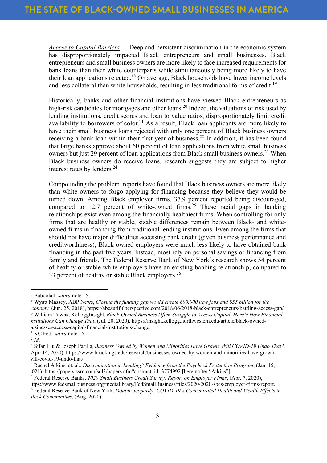*Access to Capital Barriers —* Deep and persistent discrimination in the economic system has disproportionately impacted Black entrepreneurs and small businesses. Black entrepreneurs and small business owners are more likely to face increased requirements for bank loans than their white counterparts while simultaneously being more likely to have their loan applications rejected.<sup>18</sup> On average, Black households have lower income levels and less collateral than white households, resulting in less traditional forms of credit.<sup>19</sup>

Historically, banks and other financial institutions have viewed Black entrepreneurs as high-risk candidates for mortgages and other loans.<sup>20</sup> Indeed, the valuations of risk used by lending institutions, credit scores and loan to value ratios, disproportionately limit credit availability to borrowers of color.<sup>21</sup> As a result, Black loan applicants are more likely to have their small business loans rejected with only one percent of Black business owners receiving a bank loan within their first year of business.<sup>22</sup> In addition, it has been found that large banks approve about 60 percent of loan applications from white small business owners but just 29 percent of loan applications from Black small business owners.<sup>23</sup> When Black business owners do receive loans, research suggests they are subject to higher interest rates by lenders. 24

Compounding the problem, reports have found that Black business owners are more likely than white owners to forgo applying for financing because they believe they would be turned down. Among Black employer firms, 37.9 percent reported being discouraged, compared to 12.7 percent of white-owned firms.<sup>25</sup> These racial gaps in banking relationships exist even among the financially healthiest firms. When controlling for only firms that are healthy or stable, sizable differences remain between Black- and whiteowned firms in financing from traditional lending institutions. Even among the firms that should not have major difficulties accessing bank credit (given business performance and creditworthiness), Black-owned employers were much less likely to have obtained bank financing in the past five years. Instead, most rely on personal savings or financing from family and friends. The Federal Reserve Bank of New York's research shows 54 percent of healthy or stable white employers have an existing banking relationship, compared to 33 percent of healthy or stable Black employers.<sup>26</sup>

<sup>18</sup> Baboolall, *supra* note 15.

<sup>19</sup> Wyatt Massey, ABP News, *Closing the funding gap would create 600,000 new jobs and \$55 billion for the*  conomy, (Jun. 25, 2018), https://abeautifulperspective.com/2018/06/2018-black-entrepreneurs-battling-access-gap/.<br><sup>0</sup> William Towns, KelloggInsight, Black-Owned Business Often Struggle to Access Capital. Here's How Financi *Institutions Can Change That*, (Jul. 20, 2020), https://insight.kellogg.northwestern.edu/article/black-ownedbusinesses-access-capital-financial-institutions-change. 21 KC Fed, *supra* note 16.

 $^{2}$  *Id*.

<sup>23</sup> Sifan Liu & Joseph Parilla, *Business Owned by Women and Minorities Have Grown. Will COVID-19 Undo That?,* (Apr. 14, 2020), https://www.brookings.edu/research/businesses-owned-by-women-and-minorities-have-grown-

will-covid-19-undo-that/.<br><sup>4</sup> Rachel Atkins, et. al., *Discrimination in Lending? Evidence from the Paycheck Protection Program*, (Jan. 15, 2021), https://papers.ssrn.com/sol3/papers.cfm?abstract\_id=3774992 [hereinafter "Atkins"].

<sup>25</sup> Federal Reserve Banks, *2020 Small Business Credit Survey: Report on Employer Firms*, (Apr. 7, 2020), https://www.fedsmallbusiness.org/medialibrary/FedSmallBusiness/files/2020/2020-sbcs-employer-firms-report.

<sup>26</sup> Federal Reserve Bank of New York, *Double Jeopardy: COVID-19's Concentrated Health and Wealth Effects in Black Communities,* (Aug. 2020),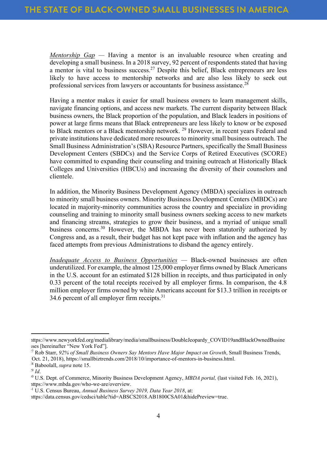*Mentorship Gap* — Having a mentor is an invaluable resource when creating and developing a small business. In a 2018 survey, 92 percent of respondents stated that having a mentor is vital to business success.<sup>27</sup> Despite this belief, Black entrepreneurs are less likely to have access to mentorship networks and are also less likely to seek out professional services from lawyers or accountants for business assistance.<sup>28</sup>

Having a mentor makes it easier for small business owners to learn management skills, navigate financing options, and access new markets. The current disparity between Black business owners, the Black proportion of the population, and Black leaders in positions of power at large firms means that Black entrepreneurs are less likely to know or be exposed to Black mentors or a Black mentorship network.<sup>29</sup> However, in recent years Federal and private institutions have dedicated more resources to minority small business outreach. The Small Business Administration's (SBA) Resource Partners, specifically the Small Business Development Centers (SBDCs) and the Service Corps of Retired Executives (SCORE) have committed to expanding their counseling and training outreach at Historically Black Colleges and Universities (HBCUs) and increasing the diversity of their counselors and clientele.

In addition, the Minority Business Development Agency (MBDA) specializes in outreach to minority small business owners. Minority Business Development Centers (MBDCs) are located in majority-minority communities across the country and specialize in providing counseling and training to minority small business owners seeking access to new markets and financing streams, strategies to grow their business, and a myriad of unique small business concerns.<sup>30</sup> However, the MBDA has never been statutorily authorized by Congress and, as a result, their budget has not kept pace with inflation and the agency has faced attempts from previous Administrations to disband the agency entirely.

*Inadequate Access to Business Opportunities —* Black-owned businesses are often underutilized. For example, the almost 125,000 employer firms owned by Black Americans in the U.S. account for an estimated \$128 billion in receipts, and thus participated in only 0.33 percent of the total receipts received by all employer firms. In comparison, the 4.8 million employer firms owned by white Americans account for \$13.3 trillion in receipts or 34.6 percent of all employer firm receipts. $31$ 

https://www.newyorkfed.org/medialibrary/media/smallbusiness/DoubleJeopardy\_COVID19andBlackOwnedBusine sses [hereinafter "New York Fed"].

<sup>27</sup> Rob Starr, *92% of Small Business Owners Say Mentors Have Major Impact on Growth*, Small Business Trends, (Oct. 21, 2018), https://smallbiztrends.com/2018/10/importance-of-mentors-in-business.html. 28 Baboolall, *supra* note 15.

<sup>29</sup> *Id*.

<sup>&</sup>lt;sup>30</sup> U.S. Dept. of Commerce, Minority Business Development Agency, *MBDA portal*, (last visited Feb. 16, 2021), https://www.mbda.gov/who-we-are/overview.

<sup>&</sup>lt;sup>41</sup> U.S. Census Bureau, *Annual Business Survey 2019, Data Year 2018*, at:

https://data.census.gov/cedsci/table?tid=ABSCS2018.AB1800CSA01&hidePreview=true.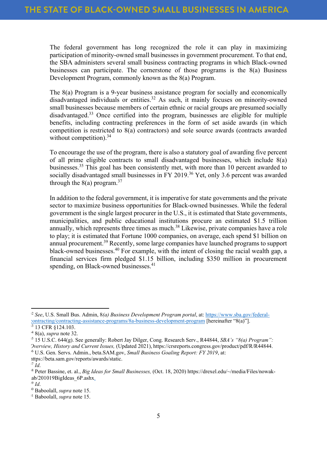The federal government has long recognized the role it can play in maximizing participation of minority-owned small businesses in government procurement. To that end, the SBA administers several small business contracting programs in which Black-owned businesses can participate. The cornerstone of those programs is the 8(a) Business Development Program, commonly known as the 8(a) Program.

The 8(a) Program is a 9-year business assistance program for socially and economically disadvantaged individuals or entities.<sup>32</sup> As such, it mainly focuses on minority-owned small businesses because members of certain ethnic or racial groups are presumed socially disadvantaged. <sup>33</sup> Once certified into the program, businesses are eligible for multiple benefits, including contracting preferences in the form of set aside awards (in which competition is restricted to 8(a) contractors) and sole source awards (contracts awarded without competition).<sup>34</sup>

To encourage the use of the program, there is also a statutory goal of awarding five percent of all prime eligible contracts to small disadvantaged businesses, which include 8(a) businesses.35 This goal has been consistently met, with more than 10 percent awarded to socially disadvantaged small businesses in FY 2019.<sup>36</sup> Yet, only 3.6 percent was awarded through the  $8(a)$  program.<sup>37</sup>

In addition to the federal government, it is imperative for state governments and the private sector to maximize business opportunities for Black-owned businesses. While the federal government is the single largest procurer in the U.S., it is estimated that State governments, municipalities, and public educational institutions procure an estimated \$1.5 trillion annually, which represents three times as much.<sup>38</sup> Likewise, private companies have a role to play; it is estimated that Fortune 1000 companies, on average, each spend \$1 billion on annual procurement.39 Recently, some large companies have launched programs to support black-owned businesses.<sup>40</sup> For example, with the intent of closing the racial wealth gap, a financial services firm pledged \$1.15 billion, including \$350 million in procurement spending, on Black-owned businesses.<sup>41</sup>

<sup>&</sup>lt;sup>12</sup> See, U.S. Small Bus. Admin, 8*(a) Business Development Program portal*, at: https://www.sba.gov/federalcontracting/contracting-assistance-programs/8a-business-development-program [hereinafter "8(a)"]. <sup>33</sup> 13 CFR §124.103.

<sup>34</sup> 8(a), *supra* note 32.

<sup>35</sup> 15 U.S.C. 644(g). See generally: Robert Jay Dilger, Cong. Research Serv., R44844, *SBA's "8(a) Program": Overview, History and Current Issues,* (Updated 2021), https://crsreports.congress.gov/product/pdf/R/R44844. <sup>16</sup> U.S. Gen. Servs. Admin., beta.SAM.gov, *Small Business Goaling Report: FY 2019*, at:

https://beta.sam.gov/reports/awards/static.

 $\overline{1}$ *Id*.

<sup>&</sup>lt;sup>38</sup> Peter Bassine, et. al., *Big Ideas for Small Businesses*, (Oct. 18, 2020) https://drexel.edu/~/media/Files/nowakab/201019BigIdeas 6P.ashx.

 $39$  *Id.* 

<sup>40</sup> Baboolall, *supra* note 15.

<sup>41</sup> Baboolall, *supra* note 15.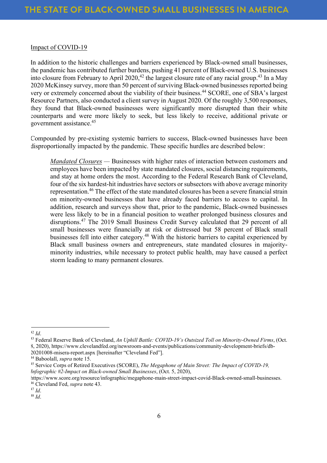## Impact of COVID-19

In addition to the historic challenges and barriers experienced by Black-owned small businesses, the pandemic has contributed further burdens, pushing 41 percent of Black-owned U.S. businesses into closure from February to April 2020, <sup>42</sup> the largest closure rate of any racial group. <sup>43</sup> In a May 2020 McKinsey survey, more than 50 percent of surviving Black-owned businesses reported being very or extremely concerned about the viability of their business.<sup>44</sup> SCORE, one of SBA's largest Resource Partners, also conducted a client survey in August 2020. Of the roughly 3,500 responses, they found that Black-owned businesses were significantly more disrupted than their white counterparts and were more likely to seek, but less likely to receive, additional private or government assistance.<sup>45</sup>

Compounded by pre-existing systemic barriers to success, Black-owned businesses have been disproportionally impacted by the pandemic. These specific hurdles are described below:

*Mandated Closures —* Businesses with higher rates of interaction between customers and employees have been impacted by state mandated closures, social distancing requirements, and stay at home orders the most. According to the Federal Research Bank of Cleveland, four of the six hardest-hit industries have sectors or subsectors with above average minority representation.<sup>46</sup> The effect of the state mandated closures has been a severe financial strain on minority-owned businesses that have already faced barriers to access to capital. In addition, research and surveys show that, prior to the pandemic, Black-owned businesses were less likely to be in a financial position to weather prolonged business closures and disruptions.47 The 2019 Small Business Credit Survey calculated that 29 percent of all small businesses were financially at risk or distressed but 58 percent of Black small businesses fell into either category.<sup>48</sup> With the historic barriers to capital experienced by Black small business owners and entrepreneurs, state mandated closures in majorityminority industries, while necessary to protect public health, may have caused a perfect storm leading to many permanent closures.

<sup>43</sup> Federal Reserve Bank of Cleveland, *An Uphill Battle: COVID-19's Outsized Toll on Minority-Owned Firms*, (Oct. 8, 2020), https://www.clevelandfed.org/newsroom-and-events/publications/community-development-briefs/db-20201008-misera-report.aspx [hereinafter "Cleveland Fed"].

<sup>47</sup> *Id*.

 $^{42}$  *Id.* 

<sup>44</sup> Baboolall, *supra* note 15.

<sup>45</sup> Service Corps of Retired Executives (SCORE), *The Megaphone of Main Street: The Impact of COVID-19, Infographic #2-Impact on Black-owned Small Businesses*, (Oct. 5, 2020),

https://www.score.org/resource/infographic/megaphone-main-street-impact-covid-Black-owned-small-businesses. 46 Cleveland Fed, *supra* note 43.

<sup>48</sup> *Id*.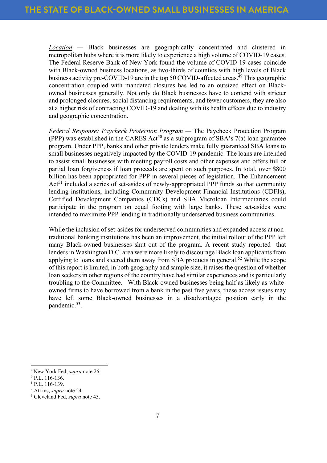*Location —* Black businesses are geographically concentrated and clustered in metropolitan hubs where it is more likely to experience a high volume of COVID-19 cases. The Federal Reserve Bank of New York found the volume of COVID-19 cases coincide with Black-owned business locations, as two-thirds of counties with high levels of Black business activity pre-COVID-19 are in the top 50 COVID-affected areas.<sup>49</sup> This geographic concentration coupled with mandated closures has led to an outsized effect on Blackowned businesses generally. Not only do Black businesses have to contend with stricter and prolonged closures, social distancing requirements, and fewer customers, they are also at a higher risk of contracting COVID-19 and dealing with its health effects due to industry and geographic concentration.

*Federal Response: Paycheck Protection Program —* The Paycheck Protection Program (PPP) was established in the CARES  $Act^{50}$  as a subprogram of SBA's 7(a) loan guarantee program. Under PPP, banks and other private lenders make fully guaranteed SBA loans to small businesses negatively impacted by the COVID-19 pandemic. The loans are intended to assist small businesses with meeting payroll costs and other expenses and offers full or partial loan forgiveness if loan proceeds are spent on such purposes. In total, over \$800 billion has been appropriated for PPP in several pieces of legislation. The Enhancement  $Act<sup>51</sup>$  included a series of set-asides of newly-appropriated PPP funds so that community lending institutions, including Community Development Financial Institutions (CDFIs), Certified Development Companies (CDCs) and SBA Microloan Intermediaries could participate in the program on equal footing with large banks. These set-asides were intended to maximize PPP lending in traditionally underserved business communities.

While the inclusion of set-asides for underserved communities and expanded access at nontraditional banking institutions has been an improvement, the initial rollout of the PPP left many Black-owned businesses shut out of the program. A recent study reported that lenders in Washington D.C. area were more likely to discourage Black loan applicants from applying to loans and steered them away from SBA products in general.<sup>52</sup> While the scope of this report is limited, in both geography and sample size, it raises the question of whether loan seekers in other regions of the country have had similar experiences and is particularly troubling to the Committee. With Black-owned businesses being half as likely as whiteowned firms to have borrowed from a bank in the past five years, these access issues may have left some Black-owned businesses in a disadvantaged position early in the pandemic.53.

<sup>&</sup>lt;sup>9</sup> New York Fed, *supra* note 26.

 $0$  P.L. 116-136.

 $1$  P.L. 116-139.

<sup>&</sup>lt;sup>2</sup> Atkins, *supra* note 24.<br><sup>3</sup> Cleveland Fed, *supra* note 43.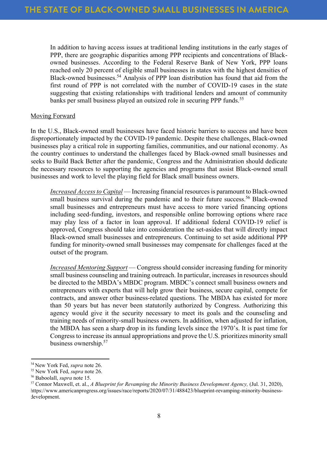In addition to having access issues at traditional lending institutions in the early stages of PPP, there are geographic disparities among PPP recipients and concentrations of Blackowned businesses. According to the Federal Reserve Bank of New York, PPP loans reached only 20 percent of eligible small businesses in states with the highest densities of Black-owned businesses.<sup>54</sup> Analysis of PPP loan distribution has found that aid from the first round of PPP is not correlated with the number of COVID-19 cases in the state suggesting that existing relationships with traditional lenders and amount of community banks per small business played an outsized role in securing PPP funds.<sup>55</sup>

# Moving Forward

In the U.S., Black-owned small businesses have faced historic barriers to success and have been disproportionately impacted by the COVID-19 pandemic. Despite these challenges, Black-owned businesses play a critical role in supporting families, communities, and our national economy. As the country continues to understand the challenges faced by Black-owned small businesses and seeks to Build Back Better after the pandemic, Congress and the Administration should dedicate the necessary resources to supporting the agencies and programs that assist Black-owned small businesses and work to level the playing field for Black small business owners.

*Increased Access to Capital* — Increasing financial resources is paramount to Black-owned small business survival during the pandemic and to their future success.<sup>56</sup> Black-owned small businesses and entrepreneurs must have access to more varied financing options including seed-funding, investors, and responsible online borrowing options where race may play less of a factor in loan approval. If additional federal COVID-19 relief is approved, Congress should take into consideration the set-asides that will directly impact Black-owned small businesses and entrepreneurs. Continuing to set aside additional PPP funding for minority-owned small businesses may compensate for challenges faced at the outset of the program.

*Increased Mentoring Support* — Congress should consider increasing funding for minority small business counseling and training outreach. In particular, increases in resources should be directed to the MBDA's MBDC program. MBDC's connect small business owners and entrepreneurs with experts that will help grow their business, secure capital, compete for contracts, and answer other business-related questions. The MBDA has existed for more than 50 years but has never been statutorily authorized by Congress. Authorizing this agency would give it the security necessary to meet its goals and the counseling and training needs of minority-small business owners. In addition, when adjusted for inflation, the MBDA has seen a sharp drop in its funding levels since the 1970's. It is past time for Congress to increase its annual appropriations and prove the U.S. prioritizes minority small business ownership.<sup>57</sup>

<sup>54</sup> New York Fed, *supra* note 26.

<sup>55</sup> New York Fed, *supra* note 26.

<sup>56</sup> Baboolall, *supra* note 15.

<sup>57</sup> Connor Maxwell, et. al., *A Blueprint for Revamping the Minority Business Development Agency,* (Jul. 31, 2020), https://www.americanprogress.org/issues/race/reports/2020/07/31/488423/blueprint-revamping-minority-businessdevelopment.